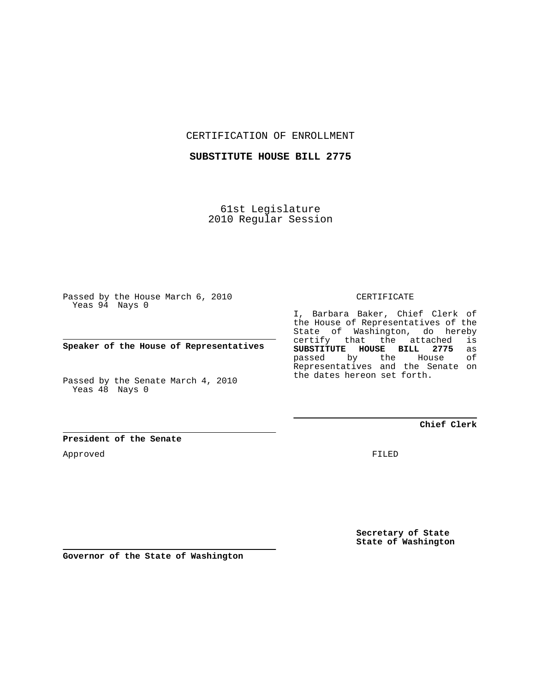CERTIFICATION OF ENROLLMENT

**SUBSTITUTE HOUSE BILL 2775**

61st Legislature 2010 Regular Session

Passed by the House March 6, 2010 Yeas 94 Nays 0

**Speaker of the House of Representatives**

Passed by the Senate March 4, 2010 Yeas 48 Nays 0

**President of the Senate**

Approved

CERTIFICATE

I, Barbara Baker, Chief Clerk of the House of Representatives of the State of Washington, do hereby certify that the attached is<br>**SUBSTITUTE HOUSE BILL 2775** as **SUBSTITUTE HOUSE BILL 2775** as passed by the Representatives and the Senate on the dates hereon set forth.

**Chief Clerk**

FILED

**Secretary of State State of Washington**

**Governor of the State of Washington**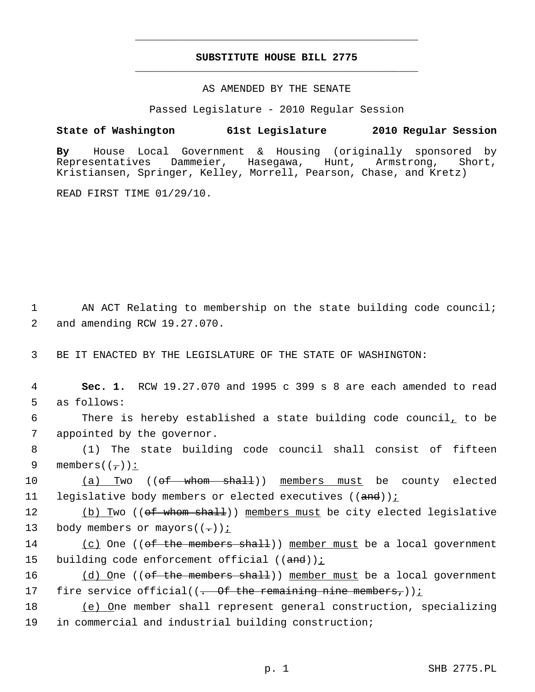## **SUBSTITUTE HOUSE BILL 2775** \_\_\_\_\_\_\_\_\_\_\_\_\_\_\_\_\_\_\_\_\_\_\_\_\_\_\_\_\_\_\_\_\_\_\_\_\_\_\_\_\_\_\_\_\_

\_\_\_\_\_\_\_\_\_\_\_\_\_\_\_\_\_\_\_\_\_\_\_\_\_\_\_\_\_\_\_\_\_\_\_\_\_\_\_\_\_\_\_\_\_

## AS AMENDED BY THE SENATE

Passed Legislature - 2010 Regular Session

## **State of Washington 61st Legislature 2010 Regular Session**

**By** House Local Government & Housing (originally sponsored by Representatives Dammeier, Hasegawa, Hunt, Armstrong, Short, Kristiansen, Springer, Kelley, Morrell, Pearson, Chase, and Kretz)

READ FIRST TIME 01/29/10.

1 AN ACT Relating to membership on the state building code council; 2 and amending RCW 19.27.070.

3 BE IT ENACTED BY THE LEGISLATURE OF THE STATE OF WASHINGTON:

 4 **Sec. 1.** RCW 19.27.070 and 1995 c 399 s 8 are each amended to read 5 as follows:

 6 There is hereby established a state building code council, to be 7 appointed by the governor.

 8 (1) The state building code council shall consist of fifteen 9 members( $(\frac{\ }{\ }')$ ):

10 (a) Two ((<del>of whom shall</del>)) members must be county elected 11 legislative body members or elected executives ((and));

12 (b) Two ((<del>of whom shall</del>)) members must be city elected legislative 13 body members or mayors( $(-)$ );

14 (c) One ((of the members shall)) member must be a local government 15 building code enforcement official  $((and))$  *i* 

16 (d) One ((of the members shall)) member must be a local government 17 fire service official( $(-$  Of the remaining nine members,))<u>;</u>

18 (e) One member shall represent general construction, specializing 19 in commercial and industrial building construction;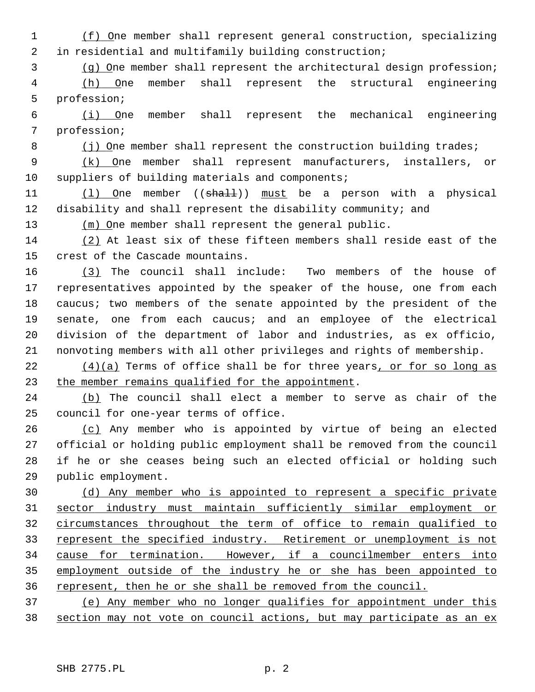1 (f) One member shall represent general construction, specializing 2 in residential and multifamily building construction;

3 (g) One member shall represent the architectural design profession;

 4 (h) One member shall represent the structural engineering 5 profession;

 6 (i) One member shall represent the mechanical engineering 7 profession;

8 (j) One member shall represent the construction building trades;

 9 (k) One member shall represent manufacturers, installers, or 10 suppliers of building materials and components;

11 (1) One member ((shall)) must be a person with a physical 12 disability and shall represent the disability community; and

13 (m) One member shall represent the general public.

14 (2) At least six of these fifteen members shall reside east of the 15 crest of the Cascade mountains.

16 (3) The council shall include: Two members of the house of 17 representatives appointed by the speaker of the house, one from each 18 caucus; two members of the senate appointed by the president of the 19 senate, one from each caucus; and an employee of the electrical 20 division of the department of labor and industries, as ex officio, 21 nonvoting members with all other privileges and rights of membership.

 $22$  (4)(a) Terms of office shall be for three years, or for so long as 23 the member remains qualified for the appointment.

24 (b) The council shall elect a member to serve as chair of the 25 council for one-year terms of office.

26 (c) Any member who is appointed by virtue of being an elected 27 official or holding public employment shall be removed from the council 28 if he or she ceases being such an elected official or holding such 29 public employment.

 (d) Any member who is appointed to represent a specific private sector industry must maintain sufficiently similar employment or circumstances throughout the term of office to remain qualified to 33 represent the specified industry. Retirement or unemployment is not cause for termination. However, if a councilmember enters into employment outside of the industry he or she has been appointed to represent, then he or she shall be removed from the council.

37 (e) Any member who no longer qualifies for appointment under this 38 section may not vote on council actions, but may participate as an ex